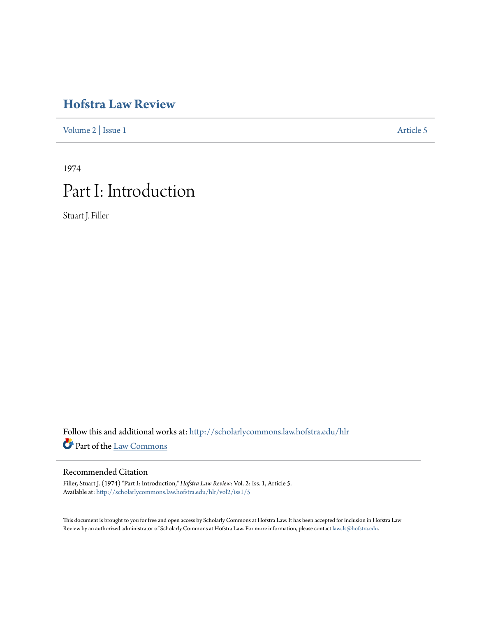# **[Hofstra Law Review](http://scholarlycommons.law.hofstra.edu/hlr?utm_source=scholarlycommons.law.hofstra.edu%2Fhlr%2Fvol2%2Fiss1%2F5&utm_medium=PDF&utm_campaign=PDFCoverPages)**

[Volume 2](http://scholarlycommons.law.hofstra.edu/hlr/vol2?utm_source=scholarlycommons.law.hofstra.edu%2Fhlr%2Fvol2%2Fiss1%2F5&utm_medium=PDF&utm_campaign=PDFCoverPages) | [Issue 1](http://scholarlycommons.law.hofstra.edu/hlr/vol2/iss1?utm_source=scholarlycommons.law.hofstra.edu%2Fhlr%2Fvol2%2Fiss1%2F5&utm_medium=PDF&utm_campaign=PDFCoverPages) [Article 5](http://scholarlycommons.law.hofstra.edu/hlr/vol2/iss1/5?utm_source=scholarlycommons.law.hofstra.edu%2Fhlr%2Fvol2%2Fiss1%2F5&utm_medium=PDF&utm_campaign=PDFCoverPages)

1974 Part I: Introduction

Stuart J. Filler

Follow this and additional works at: [http://scholarlycommons.law.hofstra.edu/hlr](http://scholarlycommons.law.hofstra.edu/hlr?utm_source=scholarlycommons.law.hofstra.edu%2Fhlr%2Fvol2%2Fiss1%2F5&utm_medium=PDF&utm_campaign=PDFCoverPages) Part of the [Law Commons](http://network.bepress.com/hgg/discipline/578?utm_source=scholarlycommons.law.hofstra.edu%2Fhlr%2Fvol2%2Fiss1%2F5&utm_medium=PDF&utm_campaign=PDFCoverPages)

# Recommended Citation

Filler, Stuart J. (1974) "Part I: Introduction," *Hofstra Law Review*: Vol. 2: Iss. 1, Article 5. Available at: [http://scholarlycommons.law.hofstra.edu/hlr/vol2/iss1/5](http://scholarlycommons.law.hofstra.edu/hlr/vol2/iss1/5?utm_source=scholarlycommons.law.hofstra.edu%2Fhlr%2Fvol2%2Fiss1%2F5&utm_medium=PDF&utm_campaign=PDFCoverPages)

This document is brought to you for free and open access by Scholarly Commons at Hofstra Law. It has been accepted for inclusion in Hofstra Law Review by an authorized administrator of Scholarly Commons at Hofstra Law. For more information, please contact [lawcls@hofstra.edu](mailto:lawcls@hofstra.edu).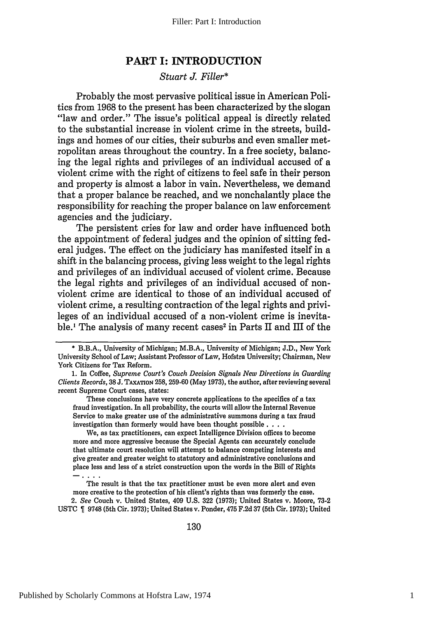## **PART I: INTRODUCTION**

### *Stuart J. Filler\**

Probably the most pervasive political issue in American Politics from **1968** to the present has been characterized **by** the slogan "law and order." The issue's political appeal is directly related to the substantial increase in violent crime in the streets, buildings and homes of our cities, their suburbs and even smaller metropolitan areas throughout the country. In a free society, balancing the legal rights and privileges of an individual accused of a violent crime with the right of citizens to feel safe in their person and property is almost a labor in vain. Nevertheless, we demand that a proper balance be reached, and we nonchalantly place the responsibility for reaching the proper balance on law enforcement agencies and the judiciary.

The persistent cries for law and order have influenced both the appointment of federal judges and the opinion of sitting federal judges. The effect on the judiciary has manifested itself in a shift in the balancing process, giving less weight to the legal rights and privileges of an individual accused of violent crime. Because the legal rights and privileges of an individual accused of nonviolent crime are identical to those of an individual accused of violent crime, a resulting contraction of the legal rights and privileges of an individual accused of a non-violent crime is inevitable.' The analysis of many recent cases 2 in Parts **II** and **III** of the

These conclusions have very concrete applications to the specifics of a tax fraud investigation. In all probability, the courts will allow the Internal Revenue Service to make greater use of the administrative summons during a tax fraud investigation than formerly would have been thought possible. **...**

We, as tax practitioners, can expect Intelligence Division offices to become more and more aggressive because the Special Agents can accurately conclude that ultimate court resolution will attempt to balance competing interests and give greater and greater weight to statutory and administrative conclusions and place less and less of a strict construction upon the words in the Bill of Rights

The result is that the tax practitioner must be even more alert and even more creative to the protection of his client's rights than was formerly the case,

2. *See* Couch v. United States, 409 **U.S. 322 (1973);** United States v. Moore, **73-2 USTC 9748** (5th Cir. **1973);** United States v. Ponder, 475 **F.2d 37** (5th Cir. **1973);** United

**<sup>\*</sup>** B.B.A., University of Michigan; M.B.A., University of Michigan; **J.D.,** New York University School of Law; Assistant Professor of Law, Hofstra University; Chairman, New York Citizens for Tax Reform.

**<sup>1.</sup>** In Coffee, *Supreme Court's Couch Decision Signals New Directions in Guarding Clients Records,* **38 J. TAXATION 258, 259-60** (May **1973),** the author, after reviewing several recent Supreme Court cases, states: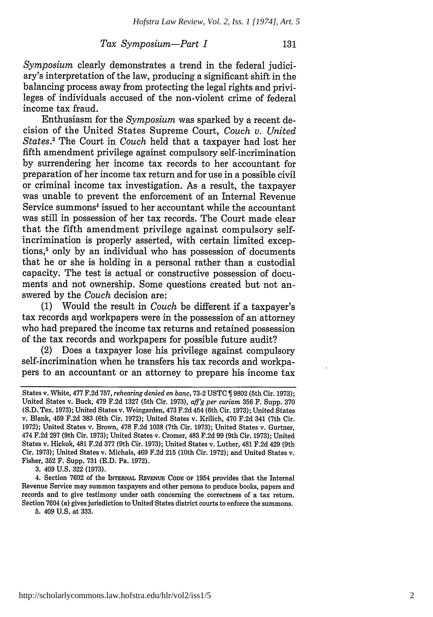#### *Tax Symposium-Part I*

*Symposium* clearly demonstrates a trend in the federal judiciary's interpretation of the law, producing a significant shift in the balancing process away from protecting the legal rights and privileges of individuals accused of the non-violent crime of federal income tax fraud.

Enthusiasm for the *Symposium* was sparked by a recent decision of the United States Supreme Court, *Couch v. United States.3* The Court in *Couch* held that a taxpayer had lost her fifth amendment privilege against compulsory self-incrimination by surrendering her income tax records to her accountant for preparation of her income tax return and for use in a possible civil or criminal income tax investigation. As a result, the taxpayer was unable to prevent the enforcement of an Internal Revenue Service summons<sup>4</sup> issued to her accountant while the accountant was still in possession of her tax records. The Court made clear that the fifth amendment privilege against compulsory selfincrimination is properly asserted, with certain limited exceptions,<sup>5</sup> only by an individual who has possession of documents that he or she is holding in a personal rather than a custodial capacity. The test is actual or constructive possession of documents and not ownership. Some questions created but not answered by the *Couch* decision are:

(1) Would the result in *Couch* be different if a taxpayer's tax records and workpapers were in the possession of an attorney who had prepared the income tax returns and retained possession of the tax records and workpapers for possible future audit?

(2) Does a taxpayer lose his privilege against compulsory self-incrimination when he transfers his tax records and workpapers to an accountant or an attorney to prepare his income tax

3. 409 U.S. 322 (1973).

4. Section **7602** of the **INTERNAL REVENUE CODE** OF 1954 provides that the Internal Revenue Service may summon taxpayers and other persons to produce books, papers and records and to give testimony under oath concerning the correctness of a tax return. Section 7604 (a) gives jurisdiction to United States district courts to enforce the summons.

5. 409 U.S. at 333.

States v. White, 477 F.2d 757, *rehearing denied en banc,* 73-2 USTC 9802 (5th Cir. 1973); United States v. Buck, 479 F.2d 1327 (5th Cir. 1973), *aff'g per curiam* 356 F. Supp. 370 (S.D. Tex. 1973); United States v. Weingarden, 473 F.2d 454 (6th Cir. 1973); United States v. Blank, 459 F.2d 383 (6th Cir. 1972); United States v. Krilich, 470 F.2d 341 (7th Cir. 1972); United States v. Brown, 478 F.2d 1038 (7th Cir. 1973); United States v. Gurtner, 474 F.2d 297 (9th Cir. 1973); United States v. Cromer, 483 F.2d 99 (9th Cir. 1973); United States v. Hickok, 481 F.2d 377 (9th Cir. 1973); United States v. Luther, 481 F.2d 429 (9th Cir. 1973); United States v. Michals, 469 F.2d 215 (10th Cir. 1972); and United States v. Fisher, 352 F. Supp. 731 (E.D. Pa. 1972).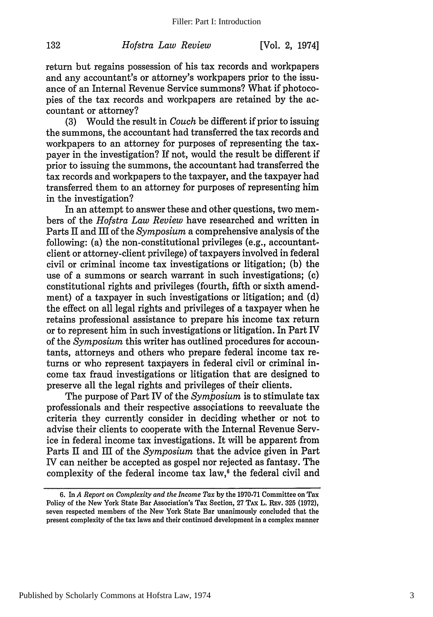132

[Vol. **2,** 1974]

return but regains possession of his tax records and workpapers and any accountant's or attorney's workpapers prior to the issuance of an Internal Revenue Service summons? What if photocopies of the tax records and workpapers are retained by the accountant or attorney?

(3) Would the result in *Couch* be different if prior to issuing the summons, the accountant had transferred the tax records and workpapers to an attorney for purposes of representing the taxpayer in the investigation? If not, would the result be different if prior to issuing the summons, the accountant had transferred the tax records and workpapers to the taxpayer, and the taxpayer had transferred them to an attorney for purposes of representing him in the investigation?

In an attempt to answer these and other questions, two members of the *Hofstra Law Review* have researched and written in Parts II and III of the *Symposium* a comprehensive analysis of the following: (a) the non-constitutional privileges (e.g., accountantclient or attorney-client privilege) of taxpayers involved in federal civil or criminal income tax investigations or litigation; (b) the use of a summons or search warrant in such investigations; (c) constitutional rights and privileges (fourth, fifth or sixth amendment) of a taxpayer in such investigations or litigation; and (d) the effect on all legal rights and privileges of a taxpayer when he retains professional assistance to prepare his income tax return or to represent him in such investigations or litigation. In Part IV of the *Symposium* this writer has outlined procedures for accountants, attorneys and others who prepare federal income tax returns or who represent taxpayers in federal civil or criminal income tax fraud investigations or litigation that are designed to preserve all the legal rights and privileges of their clients.

The purpose of Part IV of the *Symposium* is to stimulate tax professionals and their respective associations to reevaluate the criteria they currently consider in deciding whether or not to advise their clients to cooperate with the Internal Revenue Service in federal income tax investigations. It will be apparent from Parts II and III of the *Symposium* that the advice given in Part IV can neither be accepted as gospel nor rejected as fantasy. The complexity of the federal income tax law, $6$  the federal civil and

Published by Scholarly Commons at Hofstra Law, 1974

<sup>6.</sup> In *A Report on Complexity and the Income Tax* by the 1970-71 Committee on Tax Policy of the New York State Bar Association's Tax Section, 27 TAx L. REv. 325 (1972), seven respected members of the New York State Bar unanimously concluded that the present complexity of the tax laws and their continued development in a complex manner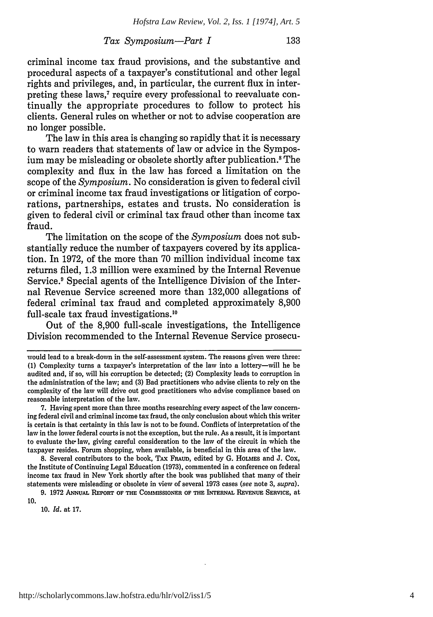#### *Tax Symposium-Part I* 133

criminal income tax fraud provisions, and the substantive and procedural aspects of a taxpayer's constitutional and other legal rights and privileges, and, in particular, the current flux in interpreting these laws.<sup>7</sup> require every professional to reevaluate continually the appropriate procedures to follow to protect his clients. General rules on whether or not to advise cooperation are no longer possible.

The law in this area is changing so rapidly that it is necessary to warn readers that statements of law or advice in the Symposium may be misleading or obsolete shortly after publication. 8 The complexity and flux in the law has forced a limitation on the scope of the *Symposium.* No consideration is given to federal civil or criminal income tax fraud investigations or litigation of corporations, partnerships, estates and trusts. No consideration is given to federal civil or criminal tax fraud other than income tax fraud.

The limitation on the scope of the *Symposium* does not substantially reduce the number of taxpayers covered by its application. In 1972, of the more than 70 million individual income tax returns filed, 1.3 million were examined by the Internal Revenue Service.<sup>9</sup> Special agents of the Intelligence Division of the Internal Revenue Service screened more than 132,000 allegations of federal criminal tax fraud and completed approximately 8,900 full-scale tax fraud investigations.10

Out of the 8,900 full-scale investigations, the Intelligence Division recommended to the Internal Revenue Service prosecu-

**7.** Having spent more than three months researching every aspect of the law concerning federal civil and criminal income tax fraud, the only conclusion about which this writer is certain is that certainty in this law is not to be found. Conflicts of interpretation of the law in the lower federal courts is not the exception, but the rule. As a result, it is important to evaluate the law, giving careful consideration to the law of the circuit in which the taxpayer resides. Forum shopping, when available, is beneficial in this area of the law.

**8.** Several contributors to the book, TAx FRAuD, edited **by G. HOLMES** and **J.** Cox, the Institute of Continuing Legal Education **(1973),** commented in a conference on federal income tax fraud in New York shortly after the book was published that many of their statements were misleading or obsolete in view of several **1973** cases *(see* note **3,** *supra).*

**10.** *Id.* at **17.**

would lead to a break-dom in the self-assessment system. The reasons given were three: **(1)** Complexity turns a taxpayer's interpretation of the law into a lottery-will he be audited and, if so, will his corruption be detected; (2) Complexity leads to corruption in the administration of the law; and **(3)** Bad practitioners who advise clients to rely on the complexity of the law will drive out good practitioners who advise compliance based on reasonable interpretation of the law.

**<sup>9.</sup>** 1972 AHruAL REPoir OF **THE** COMMISSIONER **OF THE** INTERNAL **REVENUE SERVICE,** at 10.